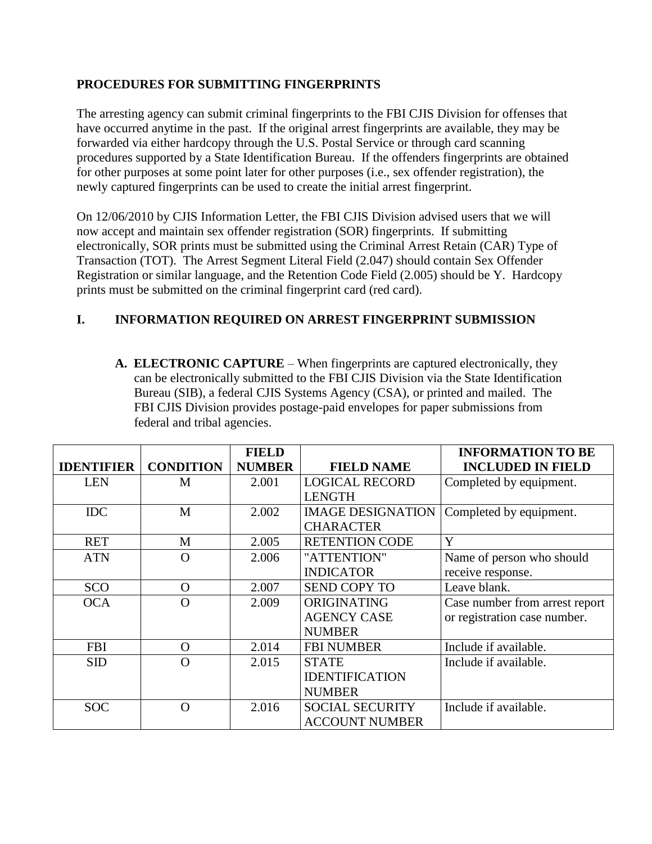## **PROCEDURES FOR SUBMITTING FINGERPRINTS**

The arresting agency can submit criminal fingerprints to the FBI CJIS Division for offenses that have occurred anytime in the past. If the original arrest fingerprints are available, they may be forwarded via either hardcopy through the U.S. Postal Service or through card scanning procedures supported by a State Identification Bureau. If the offenders fingerprints are obtained for other purposes at some point later for other purposes (i.e., sex offender registration), the newly captured fingerprints can be used to create the initial arrest fingerprint.

On 12/06/2010 by CJIS Information Letter, the FBI CJIS Division advised users that we will now accept and maintain sex offender registration (SOR) fingerprints. If submitting electronically, SOR prints must be submitted using the Criminal Arrest Retain (CAR) Type of Transaction (TOT). The Arrest Segment Literal Field (2.047) should contain Sex Offender Registration or similar language, and the Retention Code Field (2.005) should be Y. Hardcopy prints must be submitted on the criminal fingerprint card (red card).

## **I. INFORMATION REQUIRED ON ARREST FINGERPRINT SUBMISSION**

**A. ELECTRONIC CAPTURE** – When fingerprints are captured electronically, they can be electronically submitted to the FBI CJIS Division via the State Identification Bureau (SIB), a federal CJIS Systems Agency (CSA), or printed and mailed. The FBI CJIS Division provides postage-paid envelopes for paper submissions from federal and tribal agencies.

|                   |                  | <b>FIELD</b>  |                          | <b>INFORMATION TO BE</b>       |
|-------------------|------------------|---------------|--------------------------|--------------------------------|
| <b>IDENTIFIER</b> | <b>CONDITION</b> | <b>NUMBER</b> | <b>FIELD NAME</b>        | <b>INCLUDED IN FIELD</b>       |
| <b>LEN</b>        | M                | 2.001         | <b>LOGICAL RECORD</b>    | Completed by equipment.        |
|                   |                  |               | <b>LENGTH</b>            |                                |
| <b>IDC</b>        | М                | 2.002         | <b>IMAGE DESIGNATION</b> | Completed by equipment.        |
|                   |                  |               | <b>CHARACTER</b>         |                                |
| <b>RET</b>        | M                | 2.005         | <b>RETENTION CODE</b>    | Y                              |
| <b>ATN</b>        | O                | 2.006         | "ATTENTION"              | Name of person who should      |
|                   |                  |               | <b>INDICATOR</b>         | receive response.              |
| SCO               | $\Omega$         | 2.007         | <b>SEND COPY TO</b>      | Leave blank.                   |
| <b>OCA</b>        | O                | 2.009         | ORIGINATING              | Case number from arrest report |
|                   |                  |               | <b>AGENCY CASE</b>       | or registration case number.   |
|                   |                  |               | <b>NUMBER</b>            |                                |
| <b>FBI</b>        | $\Omega$         | 2.014         | <b>FBI NUMBER</b>        | Include if available.          |
| <b>SID</b>        | $\Omega$         | 2.015         | <b>STATE</b>             | Include if available.          |
|                   |                  |               | <b>IDENTIFICATION</b>    |                                |
|                   |                  |               | <b>NUMBER</b>            |                                |
| <b>SOC</b>        | $\Omega$         | 2.016         | <b>SOCIAL SECURITY</b>   | Include if available.          |
|                   |                  |               | <b>ACCOUNT NUMBER</b>    |                                |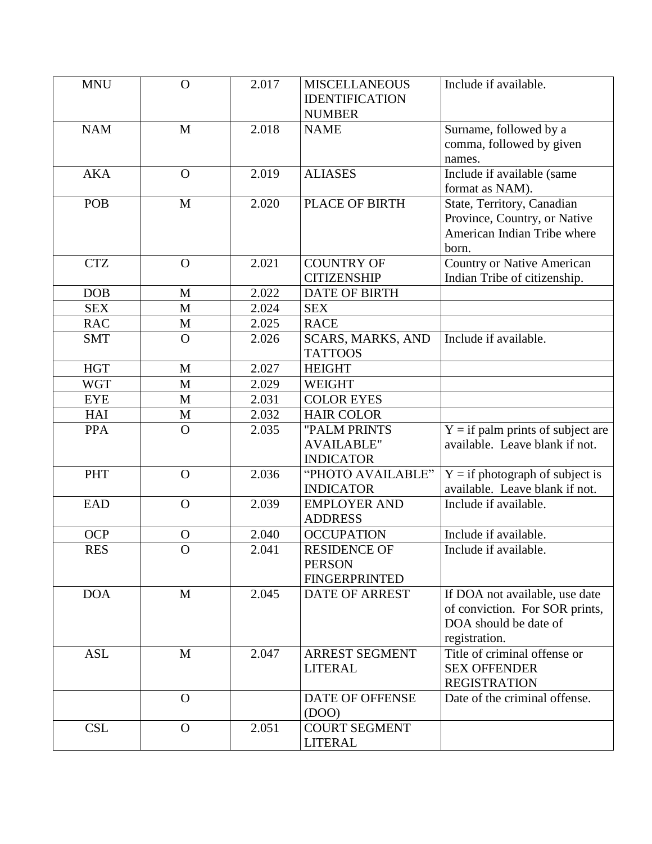| <b>NAM</b><br>$\mathbf{M}$<br>2.018<br>Surname, followed by a<br><b>NAME</b><br>comma, followed by given<br>names.<br><b>AKA</b><br>Include if available (same<br>2.019<br><b>ALIASES</b><br>$\overline{O}$<br>format as NAM).<br>POB<br>2.020<br>PLACE OF BIRTH<br>$\mathbf{M}$<br>State, Territory, Canadian<br>Province, Country, or Native<br>American Indian Tribe where<br>born.<br><b>CTZ</b><br><b>COUNTRY OF</b><br><b>Country or Native American</b><br>2.021<br>$\overline{O}$<br>Indian Tribe of citizenship.<br><b>CITIZENSHIP</b><br><b>DOB</b><br>2.022<br><b>DATE OF BIRTH</b><br>M<br><b>SEX</b><br>M<br>2.024<br><b>SEX</b><br><b>RAC</b><br>2.025<br>$\mathbf{M}$<br><b>RACE</b><br>Include if available.<br><b>SMT</b><br>$\mathbf O$<br>SCARS, MARKS, AND<br>2.026<br><b>TATTOOS</b><br><b>HGT</b><br>2.027<br><b>HEIGHT</b><br>M<br><b>WGT</b><br>M<br>2.029<br><b>WEIGHT</b><br><b>EYE</b><br>2.031<br><b>COLOR EYES</b><br>M<br><b>HAI</b><br>$\mathbf{M}$<br>2.032<br><b>HAIR COLOR</b><br>$Y = if$ palm prints of subject are<br><b>PPA</b><br>$\mathbf{O}$<br>2.035<br>"PALM PRINTS<br><b>AVAILABLE"</b><br>available. Leave blank if not.<br><b>INDICATOR</b><br>$Y = if photograph of subject is$<br><b>PHT</b><br>2.036<br>"PHOTO AVAILABLE"<br>$\mathbf{O}$<br>available. Leave blank if not.<br><b>INDICATOR</b><br><b>EAD</b><br>2.039<br>$\mathbf O$<br>Include if available.<br><b>EMPLOYER AND</b><br><b>ADDRESS</b><br><b>OCP</b><br>2.040<br>Include if available.<br><b>OCCUPATION</b><br>$\mathbf O$<br><b>RES</b><br>$\mathbf O$<br><b>RESIDENCE OF</b><br>2.041<br>Include if available.<br><b>PERSON</b><br><b>FINGERPRINTED</b><br><b>DOA</b><br>2.045<br>M<br><b>DATE OF ARREST</b><br>If DOA not available, use date<br>of conviction. For SOR prints,<br>DOA should be date of<br>registration.<br>Title of criminal offense or<br><b>ASL</b><br>2.047<br><b>ARREST SEGMENT</b><br>M<br><b>SEX OFFENDER</b><br><b>LITERAL</b><br><b>REGISTRATION</b><br>Date of the criminal offense.<br>DATE OF OFFENSE<br>$\overline{O}$<br>(DOO)<br><b>CSL</b><br>2.051<br><b>COURT SEGMENT</b><br>$\overline{O}$ | <b>MNU</b> | $\overline{O}$ | 2.017 | <b>MISCELLANEOUS</b><br><b>IDENTIFICATION</b><br><b>NUMBER</b> | Include if available. |
|-----------------------------------------------------------------------------------------------------------------------------------------------------------------------------------------------------------------------------------------------------------------------------------------------------------------------------------------------------------------------------------------------------------------------------------------------------------------------------------------------------------------------------------------------------------------------------------------------------------------------------------------------------------------------------------------------------------------------------------------------------------------------------------------------------------------------------------------------------------------------------------------------------------------------------------------------------------------------------------------------------------------------------------------------------------------------------------------------------------------------------------------------------------------------------------------------------------------------------------------------------------------------------------------------------------------------------------------------------------------------------------------------------------------------------------------------------------------------------------------------------------------------------------------------------------------------------------------------------------------------------------------------------------------------------------------------------------------------------------------------------------------------------------------------------------------------------------------------------------------------------------------------------------------------------------------------------------------------------------------------------------------------------------------------------------------------------------------------------------------------------------------------------|------------|----------------|-------|----------------------------------------------------------------|-----------------------|
|                                                                                                                                                                                                                                                                                                                                                                                                                                                                                                                                                                                                                                                                                                                                                                                                                                                                                                                                                                                                                                                                                                                                                                                                                                                                                                                                                                                                                                                                                                                                                                                                                                                                                                                                                                                                                                                                                                                                                                                                                                                                                                                                                     |            |                |       |                                                                |                       |
|                                                                                                                                                                                                                                                                                                                                                                                                                                                                                                                                                                                                                                                                                                                                                                                                                                                                                                                                                                                                                                                                                                                                                                                                                                                                                                                                                                                                                                                                                                                                                                                                                                                                                                                                                                                                                                                                                                                                                                                                                                                                                                                                                     |            |                |       |                                                                |                       |
|                                                                                                                                                                                                                                                                                                                                                                                                                                                                                                                                                                                                                                                                                                                                                                                                                                                                                                                                                                                                                                                                                                                                                                                                                                                                                                                                                                                                                                                                                                                                                                                                                                                                                                                                                                                                                                                                                                                                                                                                                                                                                                                                                     |            |                |       |                                                                |                       |
|                                                                                                                                                                                                                                                                                                                                                                                                                                                                                                                                                                                                                                                                                                                                                                                                                                                                                                                                                                                                                                                                                                                                                                                                                                                                                                                                                                                                                                                                                                                                                                                                                                                                                                                                                                                                                                                                                                                                                                                                                                                                                                                                                     |            |                |       |                                                                |                       |
|                                                                                                                                                                                                                                                                                                                                                                                                                                                                                                                                                                                                                                                                                                                                                                                                                                                                                                                                                                                                                                                                                                                                                                                                                                                                                                                                                                                                                                                                                                                                                                                                                                                                                                                                                                                                                                                                                                                                                                                                                                                                                                                                                     |            |                |       |                                                                |                       |
|                                                                                                                                                                                                                                                                                                                                                                                                                                                                                                                                                                                                                                                                                                                                                                                                                                                                                                                                                                                                                                                                                                                                                                                                                                                                                                                                                                                                                                                                                                                                                                                                                                                                                                                                                                                                                                                                                                                                                                                                                                                                                                                                                     |            |                |       |                                                                |                       |
|                                                                                                                                                                                                                                                                                                                                                                                                                                                                                                                                                                                                                                                                                                                                                                                                                                                                                                                                                                                                                                                                                                                                                                                                                                                                                                                                                                                                                                                                                                                                                                                                                                                                                                                                                                                                                                                                                                                                                                                                                                                                                                                                                     |            |                |       |                                                                |                       |
|                                                                                                                                                                                                                                                                                                                                                                                                                                                                                                                                                                                                                                                                                                                                                                                                                                                                                                                                                                                                                                                                                                                                                                                                                                                                                                                                                                                                                                                                                                                                                                                                                                                                                                                                                                                                                                                                                                                                                                                                                                                                                                                                                     |            |                |       |                                                                |                       |
|                                                                                                                                                                                                                                                                                                                                                                                                                                                                                                                                                                                                                                                                                                                                                                                                                                                                                                                                                                                                                                                                                                                                                                                                                                                                                                                                                                                                                                                                                                                                                                                                                                                                                                                                                                                                                                                                                                                                                                                                                                                                                                                                                     |            |                |       |                                                                |                       |
|                                                                                                                                                                                                                                                                                                                                                                                                                                                                                                                                                                                                                                                                                                                                                                                                                                                                                                                                                                                                                                                                                                                                                                                                                                                                                                                                                                                                                                                                                                                                                                                                                                                                                                                                                                                                                                                                                                                                                                                                                                                                                                                                                     |            |                |       |                                                                |                       |
|                                                                                                                                                                                                                                                                                                                                                                                                                                                                                                                                                                                                                                                                                                                                                                                                                                                                                                                                                                                                                                                                                                                                                                                                                                                                                                                                                                                                                                                                                                                                                                                                                                                                                                                                                                                                                                                                                                                                                                                                                                                                                                                                                     |            |                |       |                                                                |                       |
|                                                                                                                                                                                                                                                                                                                                                                                                                                                                                                                                                                                                                                                                                                                                                                                                                                                                                                                                                                                                                                                                                                                                                                                                                                                                                                                                                                                                                                                                                                                                                                                                                                                                                                                                                                                                                                                                                                                                                                                                                                                                                                                                                     |            |                |       |                                                                |                       |
|                                                                                                                                                                                                                                                                                                                                                                                                                                                                                                                                                                                                                                                                                                                                                                                                                                                                                                                                                                                                                                                                                                                                                                                                                                                                                                                                                                                                                                                                                                                                                                                                                                                                                                                                                                                                                                                                                                                                                                                                                                                                                                                                                     |            |                |       |                                                                |                       |
|                                                                                                                                                                                                                                                                                                                                                                                                                                                                                                                                                                                                                                                                                                                                                                                                                                                                                                                                                                                                                                                                                                                                                                                                                                                                                                                                                                                                                                                                                                                                                                                                                                                                                                                                                                                                                                                                                                                                                                                                                                                                                                                                                     |            |                |       |                                                                |                       |
|                                                                                                                                                                                                                                                                                                                                                                                                                                                                                                                                                                                                                                                                                                                                                                                                                                                                                                                                                                                                                                                                                                                                                                                                                                                                                                                                                                                                                                                                                                                                                                                                                                                                                                                                                                                                                                                                                                                                                                                                                                                                                                                                                     |            |                |       |                                                                |                       |
|                                                                                                                                                                                                                                                                                                                                                                                                                                                                                                                                                                                                                                                                                                                                                                                                                                                                                                                                                                                                                                                                                                                                                                                                                                                                                                                                                                                                                                                                                                                                                                                                                                                                                                                                                                                                                                                                                                                                                                                                                                                                                                                                                     |            |                |       |                                                                |                       |
|                                                                                                                                                                                                                                                                                                                                                                                                                                                                                                                                                                                                                                                                                                                                                                                                                                                                                                                                                                                                                                                                                                                                                                                                                                                                                                                                                                                                                                                                                                                                                                                                                                                                                                                                                                                                                                                                                                                                                                                                                                                                                                                                                     |            |                |       |                                                                |                       |
|                                                                                                                                                                                                                                                                                                                                                                                                                                                                                                                                                                                                                                                                                                                                                                                                                                                                                                                                                                                                                                                                                                                                                                                                                                                                                                                                                                                                                                                                                                                                                                                                                                                                                                                                                                                                                                                                                                                                                                                                                                                                                                                                                     |            |                |       |                                                                |                       |
|                                                                                                                                                                                                                                                                                                                                                                                                                                                                                                                                                                                                                                                                                                                                                                                                                                                                                                                                                                                                                                                                                                                                                                                                                                                                                                                                                                                                                                                                                                                                                                                                                                                                                                                                                                                                                                                                                                                                                                                                                                                                                                                                                     |            |                |       |                                                                |                       |
|                                                                                                                                                                                                                                                                                                                                                                                                                                                                                                                                                                                                                                                                                                                                                                                                                                                                                                                                                                                                                                                                                                                                                                                                                                                                                                                                                                                                                                                                                                                                                                                                                                                                                                                                                                                                                                                                                                                                                                                                                                                                                                                                                     |            |                |       |                                                                |                       |
|                                                                                                                                                                                                                                                                                                                                                                                                                                                                                                                                                                                                                                                                                                                                                                                                                                                                                                                                                                                                                                                                                                                                                                                                                                                                                                                                                                                                                                                                                                                                                                                                                                                                                                                                                                                                                                                                                                                                                                                                                                                                                                                                                     |            |                |       |                                                                |                       |
|                                                                                                                                                                                                                                                                                                                                                                                                                                                                                                                                                                                                                                                                                                                                                                                                                                                                                                                                                                                                                                                                                                                                                                                                                                                                                                                                                                                                                                                                                                                                                                                                                                                                                                                                                                                                                                                                                                                                                                                                                                                                                                                                                     |            |                |       |                                                                |                       |
|                                                                                                                                                                                                                                                                                                                                                                                                                                                                                                                                                                                                                                                                                                                                                                                                                                                                                                                                                                                                                                                                                                                                                                                                                                                                                                                                                                                                                                                                                                                                                                                                                                                                                                                                                                                                                                                                                                                                                                                                                                                                                                                                                     |            |                |       |                                                                |                       |
|                                                                                                                                                                                                                                                                                                                                                                                                                                                                                                                                                                                                                                                                                                                                                                                                                                                                                                                                                                                                                                                                                                                                                                                                                                                                                                                                                                                                                                                                                                                                                                                                                                                                                                                                                                                                                                                                                                                                                                                                                                                                                                                                                     |            |                |       |                                                                |                       |
|                                                                                                                                                                                                                                                                                                                                                                                                                                                                                                                                                                                                                                                                                                                                                                                                                                                                                                                                                                                                                                                                                                                                                                                                                                                                                                                                                                                                                                                                                                                                                                                                                                                                                                                                                                                                                                                                                                                                                                                                                                                                                                                                                     |            |                |       |                                                                |                       |
|                                                                                                                                                                                                                                                                                                                                                                                                                                                                                                                                                                                                                                                                                                                                                                                                                                                                                                                                                                                                                                                                                                                                                                                                                                                                                                                                                                                                                                                                                                                                                                                                                                                                                                                                                                                                                                                                                                                                                                                                                                                                                                                                                     |            |                |       |                                                                |                       |
|                                                                                                                                                                                                                                                                                                                                                                                                                                                                                                                                                                                                                                                                                                                                                                                                                                                                                                                                                                                                                                                                                                                                                                                                                                                                                                                                                                                                                                                                                                                                                                                                                                                                                                                                                                                                                                                                                                                                                                                                                                                                                                                                                     |            |                |       |                                                                |                       |
|                                                                                                                                                                                                                                                                                                                                                                                                                                                                                                                                                                                                                                                                                                                                                                                                                                                                                                                                                                                                                                                                                                                                                                                                                                                                                                                                                                                                                                                                                                                                                                                                                                                                                                                                                                                                                                                                                                                                                                                                                                                                                                                                                     |            |                |       |                                                                |                       |
|                                                                                                                                                                                                                                                                                                                                                                                                                                                                                                                                                                                                                                                                                                                                                                                                                                                                                                                                                                                                                                                                                                                                                                                                                                                                                                                                                                                                                                                                                                                                                                                                                                                                                                                                                                                                                                                                                                                                                                                                                                                                                                                                                     |            |                |       |                                                                |                       |
|                                                                                                                                                                                                                                                                                                                                                                                                                                                                                                                                                                                                                                                                                                                                                                                                                                                                                                                                                                                                                                                                                                                                                                                                                                                                                                                                                                                                                                                                                                                                                                                                                                                                                                                                                                                                                                                                                                                                                                                                                                                                                                                                                     |            |                |       |                                                                |                       |
|                                                                                                                                                                                                                                                                                                                                                                                                                                                                                                                                                                                                                                                                                                                                                                                                                                                                                                                                                                                                                                                                                                                                                                                                                                                                                                                                                                                                                                                                                                                                                                                                                                                                                                                                                                                                                                                                                                                                                                                                                                                                                                                                                     |            |                |       |                                                                |                       |
|                                                                                                                                                                                                                                                                                                                                                                                                                                                                                                                                                                                                                                                                                                                                                                                                                                                                                                                                                                                                                                                                                                                                                                                                                                                                                                                                                                                                                                                                                                                                                                                                                                                                                                                                                                                                                                                                                                                                                                                                                                                                                                                                                     |            |                |       |                                                                |                       |
|                                                                                                                                                                                                                                                                                                                                                                                                                                                                                                                                                                                                                                                                                                                                                                                                                                                                                                                                                                                                                                                                                                                                                                                                                                                                                                                                                                                                                                                                                                                                                                                                                                                                                                                                                                                                                                                                                                                                                                                                                                                                                                                                                     |            |                |       |                                                                |                       |
|                                                                                                                                                                                                                                                                                                                                                                                                                                                                                                                                                                                                                                                                                                                                                                                                                                                                                                                                                                                                                                                                                                                                                                                                                                                                                                                                                                                                                                                                                                                                                                                                                                                                                                                                                                                                                                                                                                                                                                                                                                                                                                                                                     |            |                |       |                                                                |                       |
|                                                                                                                                                                                                                                                                                                                                                                                                                                                                                                                                                                                                                                                                                                                                                                                                                                                                                                                                                                                                                                                                                                                                                                                                                                                                                                                                                                                                                                                                                                                                                                                                                                                                                                                                                                                                                                                                                                                                                                                                                                                                                                                                                     |            |                |       | <b>LITERAL</b>                                                 |                       |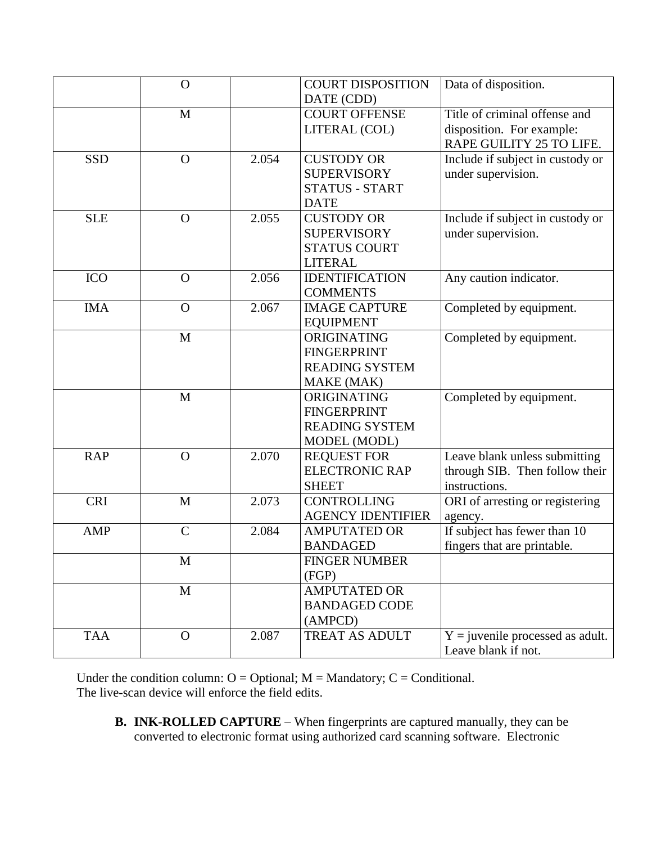|            | $\mathbf{O}$  |       | <b>COURT DISPOSITION</b> | Data of disposition.               |
|------------|---------------|-------|--------------------------|------------------------------------|
|            |               |       | DATE (CDD)               |                                    |
|            | M             |       | <b>COURT OFFENSE</b>     | Title of criminal offense and      |
|            |               |       | LITERAL (COL)            | disposition. For example:          |
|            |               |       |                          | RAPE GUILITY 25 TO LIFE.           |
| <b>SSD</b> | $\mathbf{O}$  | 2.054 | <b>CUSTODY OR</b>        | Include if subject in custody or   |
|            |               |       | <b>SUPERVISORY</b>       | under supervision.                 |
|            |               |       | <b>STATUS - START</b>    |                                    |
|            |               |       | <b>DATE</b>              |                                    |
| <b>SLE</b> | $\Omega$      | 2.055 | <b>CUSTODY OR</b>        | Include if subject in custody or   |
|            |               |       | <b>SUPERVISORY</b>       | under supervision.                 |
|            |               |       | <b>STATUS COURT</b>      |                                    |
|            |               |       | <b>LITERAL</b>           |                                    |
| <b>ICO</b> | $\mathbf{O}$  | 2.056 | <b>IDENTIFICATION</b>    | Any caution indicator.             |
|            |               |       | <b>COMMENTS</b>          |                                    |
| <b>IMA</b> | $\Omega$      | 2.067 | <b>IMAGE CAPTURE</b>     | Completed by equipment.            |
|            |               |       | <b>EQUIPMENT</b>         |                                    |
|            | $\mathbf{M}$  |       | ORIGINATING              | Completed by equipment.            |
|            |               |       | <b>FINGERPRINT</b>       |                                    |
|            |               |       | <b>READING SYSTEM</b>    |                                    |
|            |               |       | MAKE (MAK)               |                                    |
|            | $\mathbf M$   |       | ORIGINATING              | Completed by equipment.            |
|            |               |       | <b>FINGERPRINT</b>       |                                    |
|            |               |       | <b>READING SYSTEM</b>    |                                    |
|            |               |       | MODEL (MODL)             |                                    |
| <b>RAP</b> | $\Omega$      | 2.070 | <b>REQUEST FOR</b>       | Leave blank unless submitting      |
|            |               |       | <b>ELECTRONIC RAP</b>    | through SIB. Then follow their     |
|            |               |       | <b>SHEET</b>             | instructions.                      |
| <b>CRI</b> | $\mathbf{M}$  | 2.073 | <b>CONTROLLING</b>       | ORI of arresting or registering    |
|            |               |       | <b>AGENCY IDENTIFIER</b> | agency.                            |
| AMP        | $\mathcal{C}$ | 2.084 | <b>AMPUTATED OR</b>      | If subject has fewer than 10       |
|            |               |       | <b>BANDAGED</b>          | fingers that are printable.        |
|            | M             |       | <b>FINGER NUMBER</b>     |                                    |
|            |               |       | (FGP)                    |                                    |
|            | $\mathbf{M}$  |       | <b>AMPUTATED OR</b>      |                                    |
|            |               |       | <b>BANDAGED CODE</b>     |                                    |
|            |               |       | (AMPCD)                  |                                    |
| <b>TAA</b> | $\Omega$      | 2.087 | <b>TREAT AS ADULT</b>    | $Y =$ juvenile processed as adult. |
|            |               |       |                          | Leave blank if not.                |

Under the condition column:  $O =$  Optional;  $M =$  Mandatory;  $C =$  Conditional. The live-scan device will enforce the field edits.

**B. INK-ROLLED CAPTURE** – When fingerprints are captured manually, they can be converted to electronic format using authorized card scanning software. Electronic